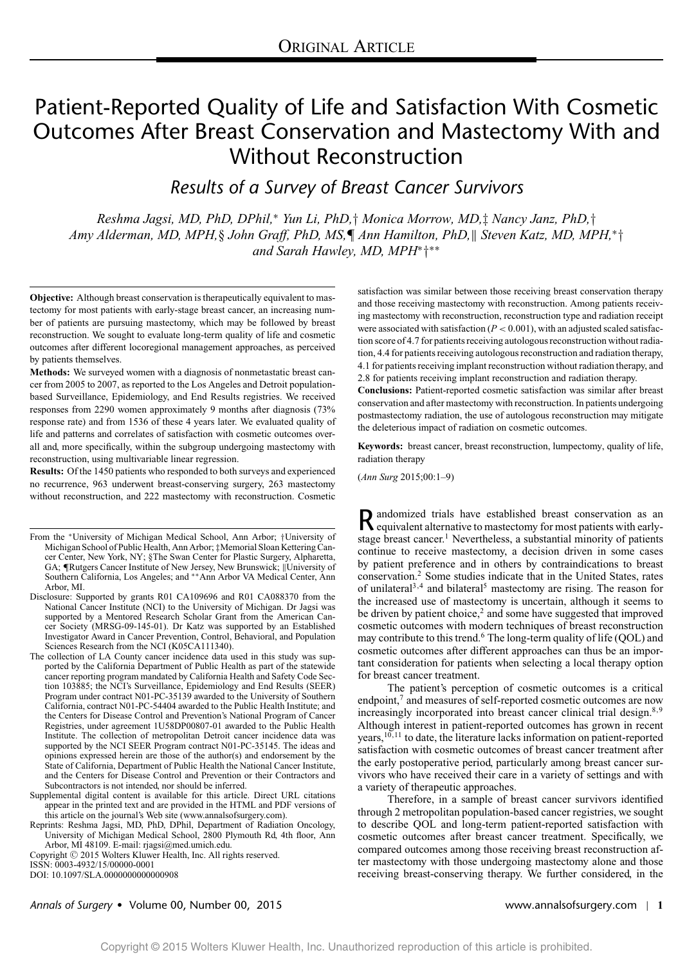# Patient-Reported Quality of Life and Satisfaction With Cosmetic Outcomes After Breast Conservation and Mastectomy With and Without Reconstruction

*Results of a Survey of Breast Cancer Survivors*

*Reshma Jagsi, MD, PhD, DPhil,*<sup>∗</sup> *Yun Li, PhD,*† *Monica Morrow, MD,*‡ *Nancy Janz, PhD,*† *Amy Alderman, MD, MPH,*§ *John Graff, PhD, MS,*¶ *Ann Hamilton, PhD, Steven Katz, MD, MPH,*<sup>∗</sup>† *and Sarah Hawley, MD, MPH*<sup>∗</sup>†∗∗

**Objective:** Although breast conservation is therapeutically equivalent to mastectomy for most patients with early-stage breast cancer, an increasing number of patients are pursuing mastectomy, which may be followed by breast reconstruction. We sought to evaluate long-term quality of life and cosmetic outcomes after different locoregional management approaches, as perceived by patients themselves.

**Methods:** We surveyed women with a diagnosis of nonmetastatic breast cancer from 2005 to 2007, as reported to the Los Angeles and Detroit populationbased Surveillance, Epidemiology, and End Results registries. We received responses from 2290 women approximately 9 months after diagnosis (73% response rate) and from 1536 of these 4 years later. We evaluated quality of life and patterns and correlates of satisfaction with cosmetic outcomes overall and, more specifically, within the subgroup undergoing mastectomy with reconstruction, using multivariable linear regression.

**Results:** Of the 1450 patients who responded to both surveys and experienced no recurrence, 963 underwent breast-conserving surgery, 263 mastectomy without reconstruction, and 222 mastectomy with reconstruction. Cosmetic

From the <sup>∗</sup>University of Michigan Medical School, Ann Arbor; †University of Michigan School of Public Health, Ann Arbor; ‡Memorial Sloan Kettering Cancer Center, New York, NY; §The Swan Center for Plastic Surgery, Alpharetta, GA; ¶Rutgers Cancer Institute of New Jersey, New Brunswick; ||University of Southern California, Los Angeles; and ∗∗Ann Arbor VA Medical Center, Ann Arbor, MI.

- Disclosure: Supported by grants R01 CA109696 and R01 CA088370 from the National Cancer Institute (NCI) to the University of Michigan. Dr Jagsi was supported by a Mentored Research Scholar Grant from the American Cancer Society (MRSG-09-145-01). Dr Katz was supported by an Established Investigator Award in Cancer Prevention, Control, Behavioral, and Population Sciences Research from the NCI (K05CA111340).
- The collection of LA County cancer incidence data used in this study was supported by the California Department of Public Health as part of the statewide cancer reporting program mandated by California Health and Safety Code Section 103885; the NCI's Surveillance, Epidemiology and End Results (SEER) Program under contract N01-PC-35139 awarded to the University of Southern California, contract N01-PC-54404 awarded to the Public Health Institute; and the Centers for Disease Control and Prevention's National Program of Cancer Registries, under agreement 1U58DP00807-01 awarded to the Public Health Institute. The collection of metropolitan Detroit cancer incidence data was supported by the NCI SEER Program contract N01-PC-35145. The ideas and opinions expressed herein are those of the author(s) and endorsement by the State of California, Department of Public Health the National Cancer Institute, and the Centers for Disease Control and Prevention or their Contractors and Subcontractors is not intended, nor should be inferred.
- Supplemental digital content is available for this article. Direct URL citations appear in the printed text and are provided in the HTML and PDF versions of this article on the journal's Web site [\(www.annalsofsurgery.com\)](http://www.annalsofsurgery.com).
- Reprints: Reshma Jagsi, MD, PhD, DPhil, Department of Radiation Oncology, University of Michigan Medical School, 2800 Plymouth Rd, 4th floor, Ann Arbor, MI 48109. E-mail: [rjagsi@med.umich.edu.](mailto:rjagsi@med.umich.edu)

Copyright © 2015 Wolters Kluwer Health, Inc. All rights reserved.

ISSN: 0003-4932/15/00000-0001

DOI: 10.1097/SLA.0000000000000908

satisfaction was similar between those receiving breast conservation therapy and those receiving mastectomy with reconstruction. Among patients receiving mastectomy with reconstruction, reconstruction type and radiation receipt were associated with satisfaction  $(P < 0.001)$ , with an adjusted scaled satisfaction score of 4.7 for patients receiving autologous reconstruction without radiation, 4.4 for patients receiving autologous reconstruction and radiation therapy, 4.1 for patients receiving implant reconstruction without radiation therapy, and 2.8 for patients receiving implant reconstruction and radiation therapy.

**Conclusions:** Patient-reported cosmetic satisfaction was similar after breast conservation and after mastectomy with reconstruction. In patients undergoing postmastectomy radiation, the use of autologous reconstruction may mitigate the deleterious impact of radiation on cosmetic outcomes.

**Keywords:** breast cancer, breast reconstruction, lumpectomy, quality of life, radiation therapy

(*Ann Surg* 2015;00:1–9)

Randomized trials have established breast conservation as an equivalent alternative to mastectomy for most patients with earlystage breast cancer.<sup>1</sup> Nevertheless, a substantial minority of patients continue to receive mastectomy, a decision driven in some cases by patient preference and in others by contraindications to breast conservation.<sup>2</sup> Some studies indicate that in the United States, rates of unilateral<sup>3,4</sup> and bilateral<sup>5</sup> mastectomy are rising. The reason for the increased use of mastectomy is uncertain, although it seems to be driven by patient choice, $2$  and some have suggested that improved cosmetic outcomes with modern techniques of breast reconstruction may contribute to this trend.<sup>6</sup> The long-term quality of life (QOL) and cosmetic outcomes after different approaches can thus be an important consideration for patients when selecting a local therapy option for breast cancer treatment.

The patient's perception of cosmetic outcomes is a critical endpoint,<sup>7</sup> and measures of self-reported cosmetic outcomes are now increasingly incorporated into breast cancer clinical trial design.<sup>8,9</sup> Although interest in patient-reported outcomes has grown in recent years,<sup>10,11</sup> to date, the literature lacks information on patient-reported satisfaction with cosmetic outcomes of breast cancer treatment after the early postoperative period, particularly among breast cancer survivors who have received their care in a variety of settings and with a variety of therapeutic approaches.

Therefore, in a sample of breast cancer survivors identified through 2 metropolitan population-based cancer registries, we sought to describe QOL and long-term patient-reported satisfaction with cosmetic outcomes after breast cancer treatment. Specifically, we compared outcomes among those receiving breast reconstruction after mastectomy with those undergoing mastectomy alone and those receiving breast-conserving therapy. We further considered, in the

# *Annals of Surgery* - Volume 00, Number 00, 2015 www.annalsofsurgery.com | **1**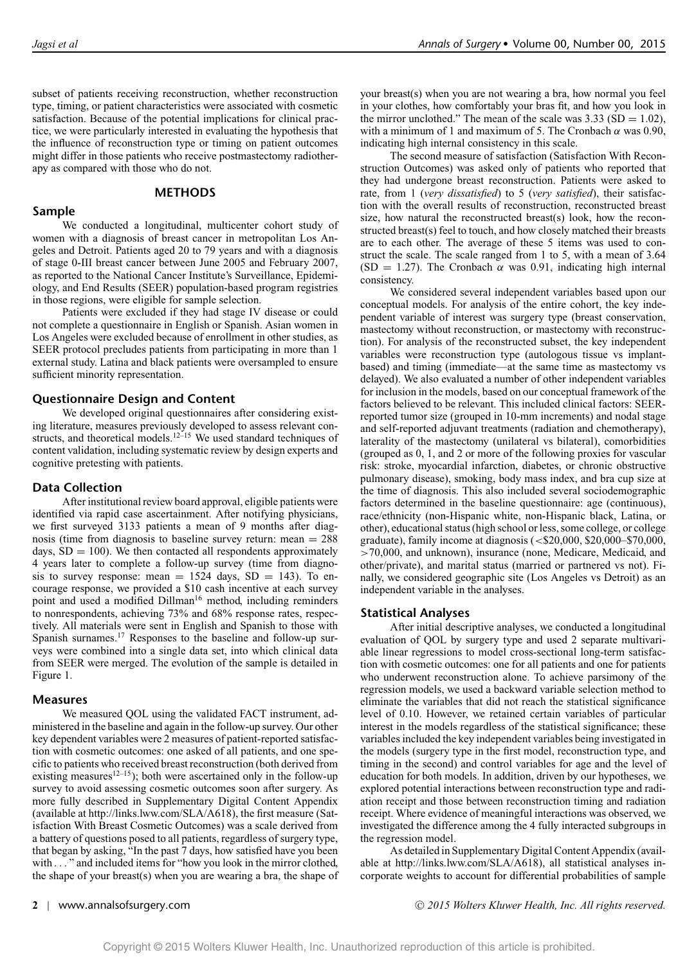subset of patients receiving reconstruction, whether reconstruction type, timing, or patient characteristics were associated with cosmetic satisfaction. Because of the potential implications for clinical practice, we were particularly interested in evaluating the hypothesis that the influence of reconstruction type or timing on patient outcomes might differ in those patients who receive postmastectomy radiotherapy as compared with those who do not.

# **METHODS**

# **Sample**

We conducted a longitudinal, multicenter cohort study of women with a diagnosis of breast cancer in metropolitan Los Angeles and Detroit. Patients aged 20 to 79 years and with a diagnosis of stage 0-III breast cancer between June 2005 and February 2007, as reported to the National Cancer Institute's Surveillance, Epidemiology, and End Results (SEER) population-based program registries in those regions, were eligible for sample selection.

Patients were excluded if they had stage IV disease or could not complete a questionnaire in English or Spanish. Asian women in Los Angeles were excluded because of enrollment in other studies, as SEER protocol precludes patients from participating in more than 1 external study. Latina and black patients were oversampled to ensure sufficient minority representation.

# **Questionnaire Design and Content**

We developed original questionnaires after considering existing literature, measures previously developed to assess relevant constructs, and theoretical models.<sup>12–15</sup> We used standard techniques of content validation, including systematic review by design experts and cognitive pretesting with patients.

# **Data Collection**

After institutional review board approval, eligible patients were identified via rapid case ascertainment. After notifying physicians, we first surveyed 3133 patients a mean of 9 months after diagnosis (time from diagnosis to baseline survey return: mean = 288 days,  $SD = 100$ ). We then contacted all respondents approximately 4 years later to complete a follow-up survey (time from diagnosis to survey response: mean  $= 1524$  days,  $SD = 143$ ). To encourage response, we provided a \$10 cash incentive at each survey point and used a modified Dillman<sup>16</sup> method, including reminders to nonrespondents, achieving 73% and 68% response rates, respectively. All materials were sent in English and Spanish to those with Spanish surnames.17 Responses to the baseline and follow-up surveys were combined into a single data set, into which clinical data from SEER were merged. The evolution of the sample is detailed in Figure 1.

# **Measures**

We measured QOL using the validated FACT instrument, administered in the baseline and again in the follow-up survey. Our other key dependent variables were 2 measures of patient-reported satisfaction with cosmetic outcomes: one asked of all patients, and one specific to patients who received breast reconstruction (both derived from existing measures<sup>12–15</sup>); both were ascertained only in the follow-up survey to avoid assessing cosmetic outcomes soon after surgery. As more fully described in Supplementary Digital Content Appendix (available at [http://links.lww.com/SLA/A618\)](http://links.lww.com/SLA/A618), the first measure (Satisfaction With Breast Cosmetic Outcomes) was a scale derived from a battery of questions posed to all patients, regardless of surgery type, that began by asking, "In the past 7 days, how satisfied have you been with . . . " and included items for "how you look in the mirror clothed, the shape of your breast(s) when you are wearing a bra, the shape of your breast(s) when you are not wearing a bra, how normal you feel in your clothes, how comfortably your bras fit, and how you look in the mirror unclothed." The mean of the scale was  $3.33$  (SD = 1.02), with a minimum of 1 and maximum of 5. The Cronbach  $\alpha$  was 0.90, indicating high internal consistency in this scale.

The second measure of satisfaction (Satisfaction With Reconstruction Outcomes) was asked only of patients who reported that they had undergone breast reconstruction. Patients were asked to rate, from 1 (*very dissatisfied*) to 5 (*very satisfied*), their satisfaction with the overall results of reconstruction, reconstructed breast size, how natural the reconstructed breast(s) look, how the reconstructed breast(s) feel to touch, and how closely matched their breasts are to each other. The average of these 5 items was used to construct the scale. The scale ranged from 1 to 5, with a mean of 3.64 (SD = 1.27). The Cronbach  $\alpha$  was 0.91, indicating high internal consistency.

We considered several independent variables based upon our conceptual models. For analysis of the entire cohort, the key independent variable of interest was surgery type (breast conservation, mastectomy without reconstruction, or mastectomy with reconstruction). For analysis of the reconstructed subset, the key independent variables were reconstruction type (autologous tissue vs implantbased) and timing (immediate—at the same time as mastectomy vs delayed). We also evaluated a number of other independent variables for inclusion in the models, based on our conceptual framework of the factors believed to be relevant. This included clinical factors: SEERreported tumor size (grouped in 10-mm increments) and nodal stage and self-reported adjuvant treatments (radiation and chemotherapy), laterality of the mastectomy (unilateral vs bilateral), comorbidities (grouped as 0, 1, and 2 or more of the following proxies for vascular risk: stroke, myocardial infarction, diabetes, or chronic obstructive pulmonary disease), smoking, body mass index, and bra cup size at the time of diagnosis. This also included several sociodemographic factors determined in the baseline questionnaire: age (continuous), race/ethnicity (non-Hispanic white, non-Hispanic black, Latina, or other), educational status (high school or less, some college, or college graduate), family income at diagnosis (<\$20,000, \$20,000–\$70,000, >70,000, and unknown), insurance (none, Medicare, Medicaid, and other/private), and marital status (married or partnered vs not). Finally, we considered geographic site (Los Angeles vs Detroit) as an independent variable in the analyses.

# **Statistical Analyses**

After initial descriptive analyses, we conducted a longitudinal evaluation of QOL by surgery type and used 2 separate multivariable linear regressions to model cross-sectional long-term satisfaction with cosmetic outcomes: one for all patients and one for patients who underwent reconstruction alone. To achieve parsimony of the regression models, we used a backward variable selection method to eliminate the variables that did not reach the statistical significance level of 0.10. However, we retained certain variables of particular interest in the models regardless of the statistical significance; these variables included the key independent variables being investigated in the models (surgery type in the first model, reconstruction type, and timing in the second) and control variables for age and the level of education for both models. In addition, driven by our hypotheses, we explored potential interactions between reconstruction type and radiation receipt and those between reconstruction timing and radiation receipt. Where evidence of meaningful interactions was observed, we investigated the difference among the 4 fully interacted subgroups in the regression model.

As detailed in Supplementary Digital Content Appendix (available at [http://links.lww.com/SLA/A618\)](http://links.lww.com/SLA/A618), all statistical analyses incorporate weights to account for differential probabilities of sample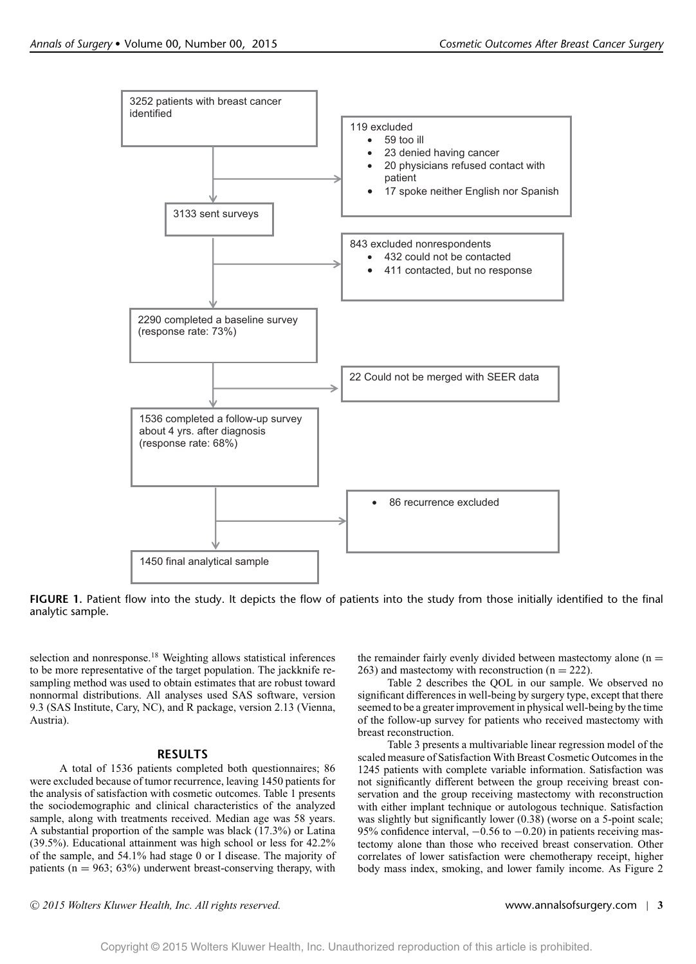

**FIGURE 1.** Patient flow into the study. It depicts the flow of patients into the study from those initially identified to the final analytic sample.

selection and nonresponse.<sup>18</sup> Weighting allows statistical inferences to be more representative of the target population. The jackknife resampling method was used to obtain estimates that are robust toward nonnormal distributions. All analyses used SAS software, version 9.3 (SAS Institute, Cary, NC), and R package, version 2.13 (Vienna, Austria).

# **RESULTS**

A total of 1536 patients completed both questionnaires; 86 were excluded because of tumor recurrence, leaving 1450 patients for the analysis of satisfaction with cosmetic outcomes. Table 1 presents the sociodemographic and clinical characteristics of the analyzed sample, along with treatments received. Median age was 58 years. A substantial proportion of the sample was black (17.3%) or Latina (39.5%). Educational attainment was high school or less for 42.2% of the sample, and 54.1% had stage 0 or I disease. The majority of patients ( $n = 963$ ; 63%) underwent breast-conserving therapy, with

the remainder fairly evenly divided between mastectomy alone  $(n =$  $263$ ) and mastectomy with reconstruction (n = 222).

Table 2 describes the QOL in our sample. We observed no significant differences in well-being by surgery type, except that there seemed to be a greater improvement in physical well-being by the time of the follow-up survey for patients who received mastectomy with breast reconstruction.

Table 3 presents a multivariable linear regression model of the scaled measure of Satisfaction With Breast Cosmetic Outcomes in the 1245 patients with complete variable information. Satisfaction was not significantly different between the group receiving breast conservation and the group receiving mastectomy with reconstruction with either implant technique or autologous technique. Satisfaction was slightly but significantly lower (0.38) (worse on a 5-point scale; 95% confidence interval,  $-0.56$  to  $-0.20$ ) in patients receiving mastectomy alone than those who received breast conservation. Other correlates of lower satisfaction were chemotherapy receipt, higher body mass index, smoking, and lower family income. As Figure 2

<sup>C</sup> *2015 Wolters Kluwer Health, Inc. All rights reserved.* www.annalsofsurgery.com | **3**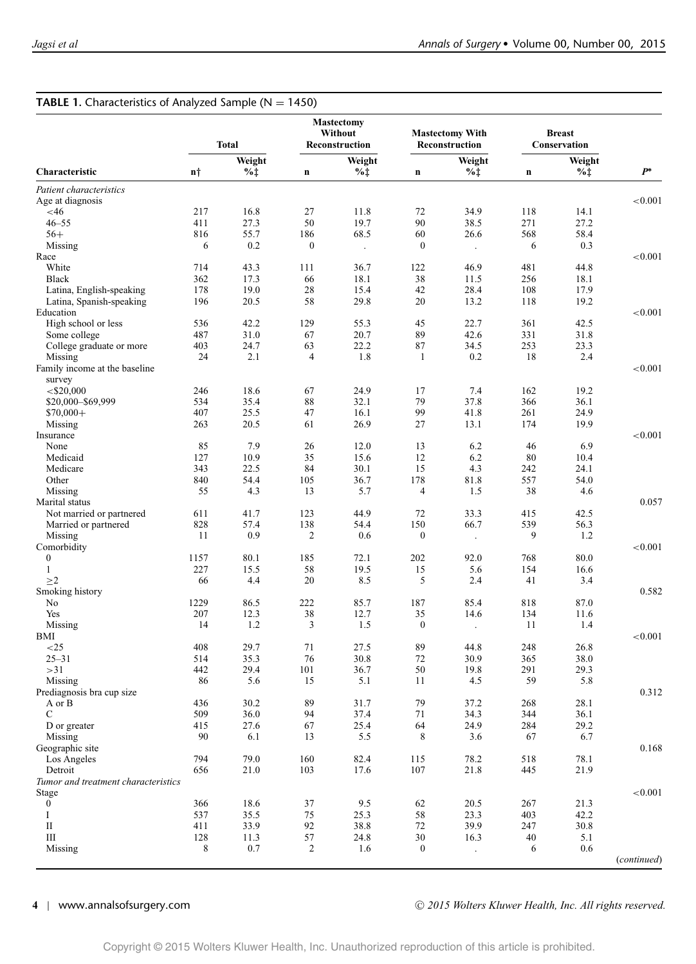## **TABLE 1.** Characteristics of Analyzed Sample ( $N = 1450$ ) **Mastectomy Without Mastectomy With Breast** Total **Reconstruction** Reconstruction **Characteristic n***†* **Weight %***‡* **n Weight %***‡* **n Weight %***‡* **n Weight %***‡ P***<sup>∗</sup>** *Patient characteristics* Age at diagnosis <br>  $\leq 46$   $\leq 46$   $\leq 217$   $\leq 16.8$   $\leq 27$   $\leq 11.8$   $\leq 72$   $\leq 34.9$   $\leq 118$   $\leq 14.1$ <46 217 16.8 27 11.8 72 34.9 118 14.1 46–55 411 27.3 50 19.7 90 38.5 271 27.2 56+ 816 55.7 186 68.5 60 26.6 568 58.4 Missing 6 0.2 0 . 0 . 6 0.3 Race  $< 0.001$ White 2012 714 43.3 111 36.7 122 46.9 481 44.8 Black 362 17.3 66 18.1 38 11.5 256 18.1 Latina, English-speaking 178 19.0 28 15.4 42 28.4 108 17.9 Latina, Spanish-speaking 196 20.5 58 29.8 20 13.2 118 19.2 Education  $< 0.001$ High school or less 536 42.2 129 55.3 45 22.7 361 42.5<br>
Some college 487 31.0 67 20.7 89 42.6 331 31.8 Some college  $487$   $31.0$   $67$   $20.7$   $89$   $42.6$   $331$   $31.8$ College graduate or more  $\begin{array}{ccccccccc}\n403 & 24.7 & 63 & 22.2 & 87 & 34.5 & 253 & 23.3 \\
24 & 2.1 & 4 & 1.8 & 1 & 0.2 & 18 & 2.4\n\end{array}$ Missing 24 2.1 4 1.8 1 0.2 18 2.4 Family income at the baseline survey  $< 0.001$ <\$20,000 246 18.6 67 24.9 17 7.4 162 19.2 \$20,000–\$69,999 534 35.4 88 32.1 79 37.8 366 36.1 \$70,000+ 407 25.5 47 16.1 99 41.8 261 24.9 Missing 263 20.5 61 26.9 27 13.1 174 19.9 Insurance  $< 0.001$ None 85 7.9 26 12.0 13 6.2 46 6.9 Medicaid 127 10.9 35 15.6 12 6.2 80 10.4 Medicare 343 22.5 84 30.1 15 4.3 242 24.1 Other 840 54.4 105 36.7 178 81.8 557 54.0 Missing 55 4.3 13 5.7 4 1.5 38 4.6 Marital status and the contract of the contract of the contract of the contract of the contract of the contract of the contract of the contract of the contract of the contract of the contract of the contract of the contrac Not married or partnered  $\begin{array}{cccc} 611 & 41.7 & 123 & 44.9 & 72 & 33.3 & 415 & 42.5 \\ 828 & 57.4 & 138 & 54.4 & 150 & 66.7 & 539 & 56.3 \end{array}$ Married or partnered 828 57.4 138 54.4 150 66.7<br>Missing 11 0.9 2 0.6 0 Missing 11 0.9 2 0.6 0 . 9 1.2 Comorbidity <0.001 0 1157 80.1 185 72.1 202 92.0 768 80.0 1 227 15.5 58 19.5 15 5.6 154 16.6  $\geq$ 2 66 4.4 20 8.5 5 2.4 41 3.4 Smoking history **0.582** No 1229 86.5 222 85.7 187 85.4 818 87.0 Yes 207 12.3 38 12.7 35 14.6 134 11.6 Missing 14 1.2 3 1.5 0 . 11 1.4 BMI  $<$ 0.001 <25 408 29.7 71 27.5 89 44.8 248 26.8 25–31 514 35.3 76 30.8 72 30.9 365 38.0 >31 442 29.4 101 36.7 50 19.8 291 29.3 Missing 86 5.6 15 5.1 11 4.5 59 5.8 Prediagnosis bra cup size 0.312<br>
A or B 0.312<br>
A or B 0.312<br>
A or B 0.312 A or B 436 30.2 89 31.7 79 37.2 268 28.1 C 509 36.0 94 37.4 71 34.3 344 36.1 D or greater 415 27.6 67 25.4 64 24.9 284 29.2 Missing 6.7 6.9 6.9 6.1 13 5.5 8 3.6 67 6.7 Geographic site and the contract of the contract of the contract of the contract of the contract of the contract of the contract of the contract of the contract of the contract of the contract of the contract of the contra Los Angeles 794 79.0 160 82.4 115 78.2 518 78.1 Detroit 656 21.0 103 17.6 107 21.8 445 21.9 *Tumor and treatment characteristics* Stage <0.001 0 366 18.6 37 9.5 62 20.5 267 21.3 I 537 35.5 75 25.3 58 23.3 403 42.2 II 411 33.9 92 38.8 72 39.9 247 30.8 III 128 11.3 57 24.8 30 16.3 40 5.1 Missing 8 0.7 2 1.6 0 . 6 0.6 (*continued*)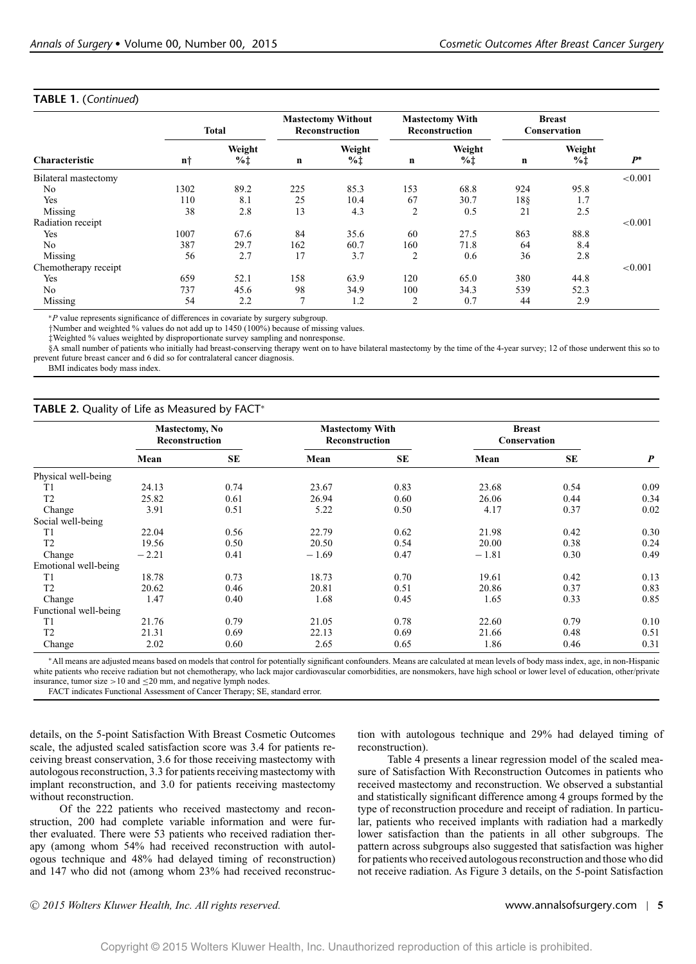# **TABLE 1.** (*Continued*)

| <b>Characteristic</b> | <b>Total</b> |                            | <b>Mastectomy Without</b><br>Reconstruction |                            | <b>Mastectomy With</b><br>Reconstruction |                           | <b>Breast</b><br>Conservation |                           |         |
|-----------------------|--------------|----------------------------|---------------------------------------------|----------------------------|------------------------------------------|---------------------------|-------------------------------|---------------------------|---------|
|                       | n†           | Weight<br>$% \updownarrow$ | n                                           | Weight<br>$% \updownarrow$ | $\mathbf n$                              | Weight<br>$% \frac{1}{4}$ | n                             | Weight<br>$% \frac{1}{4}$ | $P^*$   |
| Bilateral mastectomy  |              |                            |                                             |                            |                                          |                           |                               |                           | < 0.001 |
| No                    | 1302         | 89.2                       | 225                                         | 85.3                       | 153                                      | 68.8                      | 924                           | 95.8                      |         |
| Yes                   | 110          | 8.1                        | 25                                          | 10.4                       | 67                                       | 30.7                      | 18§                           | 1.7                       |         |
| Missing               | 38           | 2.8                        | 13                                          | 4.3                        | 2                                        | 0.5                       | 21                            | 2.5                       |         |
| Radiation receipt     |              |                            |                                             |                            |                                          |                           |                               |                           | < 0.001 |
| Yes                   | 1007         | 67.6                       | 84                                          | 35.6                       | 60                                       | 27.5                      | 863                           | 88.8                      |         |
| N <sub>0</sub>        | 387          | 29.7                       | 162                                         | 60.7                       | 160                                      | 71.8                      | 64                            | 8.4                       |         |
| Missing               | 56           | 2.7                        | 17                                          | 3.7                        | $\overline{2}$                           | 0.6                       | 36                            | 2.8                       |         |
| Chemotherapy receipt  |              |                            |                                             |                            |                                          |                           |                               |                           | < 0.001 |
| Yes                   | 659          | 52.1                       | 158                                         | 63.9                       | 120                                      | 65.0                      | 380                           | 44.8                      |         |
| No                    | 737          | 45.6                       | 98                                          | 34.9                       | 100                                      | 34.3                      | 539                           | 52.3                      |         |
| Missing               | 54           | 2.2                        | 7                                           | 1.2                        | $\overline{2}$                           | 0.7                       | 44                            | 2.9                       |         |

∗*P* value represents significance of differences in covariate by surgery subgroup.

†Number and weighted % values do not add up to 1450 (100%) because of missing values.

‡Weighted % values weighted by disproportionate survey sampling and nonresponse.

§A small number of patients who initially had breast-conserving therapy went on to have bilateral mastectomy by the time of the 4-year survey; 12 of those underwent this so to prevent future breast cancer and 6 did so for contralateral cancer diagnosis.

BMI indicates body mass index.

# **TABLE 2.** Quality of Life as Measured by FACT<sup>∗</sup>

|                       |         | <b>Mastectomy, No</b><br>Reconstruction |         | <b>Mastectomy With</b><br><b>Reconstruction</b> |         | <b>Breast</b><br>Conservation |                  |
|-----------------------|---------|-----------------------------------------|---------|-------------------------------------------------|---------|-------------------------------|------------------|
|                       | Mean    | SE                                      | Mean    | <b>SE</b>                                       | Mean    | SE                            | $\boldsymbol{P}$ |
| Physical well-being   |         |                                         |         |                                                 |         |                               |                  |
| T1                    | 24.13   | 0.74                                    | 23.67   | 0.83                                            | 23.68   | 0.54                          | 0.09             |
| T <sub>2</sub>        | 25.82   | 0.61                                    | 26.94   | 0.60                                            | 26.06   | 0.44                          | 0.34             |
| Change                | 3.91    | 0.51                                    | 5.22    | 0.50                                            | 4.17    | 0.37                          | 0.02             |
| Social well-being     |         |                                         |         |                                                 |         |                               |                  |
| T1                    | 22.04   | 0.56                                    | 22.79   | 0.62                                            | 21.98   | 0.42                          | 0.30             |
| T <sub>2</sub>        | 19.56   | 0.50                                    | 20.50   | 0.54                                            | 20.00   | 0.38                          | 0.24             |
| Change                | $-2.21$ | 0.41                                    | $-1.69$ | 0.47                                            | $-1.81$ | 0.30                          | 0.49             |
| Emotional well-being  |         |                                         |         |                                                 |         |                               |                  |
| T1                    | 18.78   | 0.73                                    | 18.73   | 0.70                                            | 19.61   | 0.42                          | 0.13             |
| T <sub>2</sub>        | 20.62   | 0.46                                    | 20.81   | 0.51                                            | 20.86   | 0.37                          | 0.83             |
| Change                | 1.47    | 0.40                                    | 1.68    | 0.45                                            | 1.65    | 0.33                          | 0.85             |
| Functional well-being |         |                                         |         |                                                 |         |                               |                  |
| T1                    | 21.76   | 0.79                                    | 21.05   | 0.78                                            | 22.60   | 0.79                          | 0.10             |
| T <sub>2</sub>        | 21.31   | 0.69                                    | 22.13   | 0.69                                            | 21.66   | 0.48                          | 0.51             |
| Change                | 2.02    | 0.60                                    | 2.65    | 0.65                                            | 1.86    | 0.46                          | 0.31             |

∗All means are adjusted means based on models that control for potentially significant confounders. Means are calculated at mean levels of body mass index, age, in non-Hispanic white patients who receive radiation but not chemotherapy, who lack major cardiovascular comorbidities, are nonsmokers, have high school or lower level of education, other/private insurance, tumor size >10 and  $\leq$ 20 mm, and negative lymph nodes.

FACT indicates Functional Assessment of Cancer Therapy; SE, standard error.

details, on the 5-point Satisfaction With Breast Cosmetic Outcomes scale, the adjusted scaled satisfaction score was 3.4 for patients receiving breast conservation, 3.6 for those receiving mastectomy with autologous reconstruction, 3.3 for patients receiving mastectomy with implant reconstruction, and 3.0 for patients receiving mastectomy without reconstruction.

Of the 222 patients who received mastectomy and reconstruction, 200 had complete variable information and were further evaluated. There were 53 patients who received radiation therapy (among whom 54% had received reconstruction with autologous technique and 48% had delayed timing of reconstruction) and 147 who did not (among whom 23% had received reconstruction with autologous technique and 29% had delayed timing of reconstruction).

Table 4 presents a linear regression model of the scaled measure of Satisfaction With Reconstruction Outcomes in patients who received mastectomy and reconstruction. We observed a substantial and statistically significant difference among 4 groups formed by the type of reconstruction procedure and receipt of radiation. In particular, patients who received implants with radiation had a markedly lower satisfaction than the patients in all other subgroups. The pattern across subgroups also suggested that satisfaction was higher for patients who received autologous reconstruction and those who did not receive radiation. As Figure 3 details, on the 5-point Satisfaction

<sup>C</sup> *2015 Wolters Kluwer Health, Inc. All rights reserved.* www.annalsofsurgery.com | **5**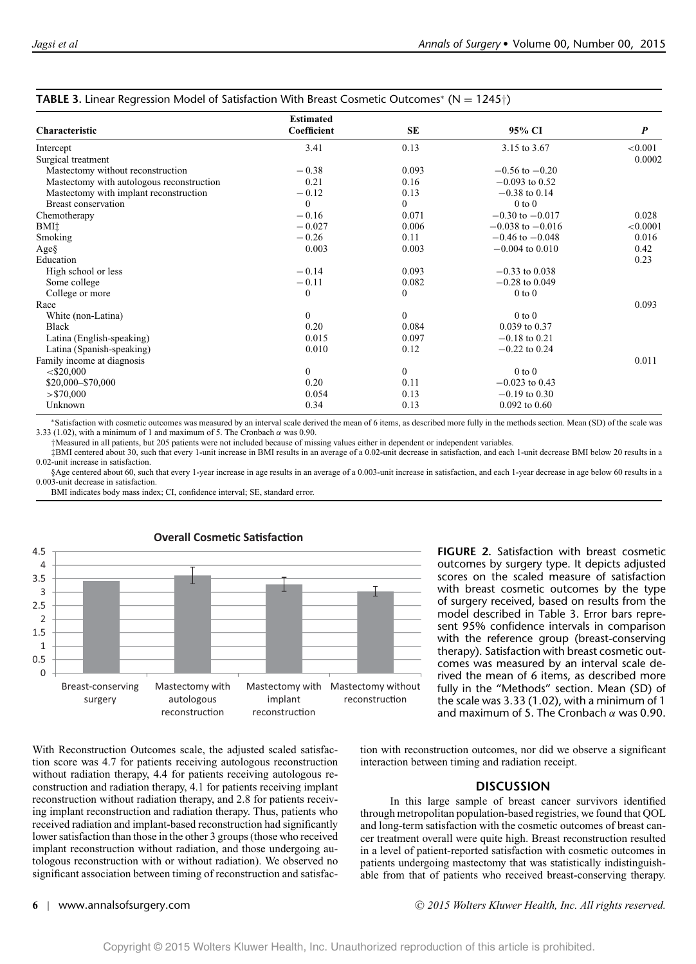|                                           | <b>Estimated</b> |              |                      |                  |
|-------------------------------------------|------------------|--------------|----------------------|------------------|
| Characteristic                            | Coefficient      | <b>SE</b>    | 95% CI               | $\boldsymbol{P}$ |
| Intercept                                 | 3.41             | 0.13         | 3.15 to 3.67         | < 0.001          |
| Surgical treatment                        |                  |              |                      | 0.0002           |
| Mastectomy without reconstruction         | $-0.38$          | 0.093        | $-0.56$ to $-0.20$   |                  |
| Mastectomy with autologous reconstruction | 0.21             | 0.16         | $-0.093$ to 0.52     |                  |
| Mastectomy with implant reconstruction    | $-0.12$          | 0.13         | $-0.38$ to 0.14      |                  |
| Breast conservation                       | $\Omega$         | $\Omega$     | $0$ to $0$           |                  |
| Chemotherapy                              | $-0.16$          | 0.071        | $-0.30$ to $-0.017$  | 0.028            |
| BMI <sup>+</sup>                          | $-0.027$         | 0.006        | $-0.038$ to $-0.016$ | < 0.0001         |
| Smoking                                   | $-0.26$          | 0.11         | $-0.46$ to $-0.048$  | 0.016            |
| $Age\$                                    | 0.003            | 0.003        | $-0.004$ to $0.010$  | 0.42             |
| Education                                 |                  |              |                      | 0.23             |
| High school or less                       | $-0.14$          | 0.093        | $-0.33$ to 0.038     |                  |
| Some college                              | $-0.11$          | 0.082        | $-0.28$ to 0.049     |                  |
| College or more                           | $\mathbf{0}$     | $\mathbf{0}$ | $0$ to $0$           |                  |
| Race                                      |                  |              |                      | 0.093            |
| White (non-Latina)                        | $\mathbf{0}$     | $\Omega$     | $0$ to $0$           |                  |
| <b>Black</b>                              | 0.20             | 0.084        | 0.039 to 0.37        |                  |
| Latina (English-speaking)                 | 0.015            | 0.097        | $-0.18$ to 0.21      |                  |
| Latina (Spanish-speaking)                 | 0.010            | 0.12         | $-0.22$ to 0.24      |                  |
| Family income at diagnosis                |                  |              |                      | 0.011            |
| $<$ \$20,000                              | $\mathbf{0}$     | $\mathbf{0}$ | $0$ to $0$           |                  |
| \$20,000 - \$70,000                       | 0.20             | 0.11         | $-0.023$ to 0.43     |                  |
| > \$70,000                                | 0.054            | 0.13         | $-0.19$ to 0.30      |                  |
| Unknown                                   | 0.34             | 0.13         | $0.092$ to $0.60$    |                  |

# **TABLE 3.** Linear Regression Model of Satisfaction With Breast Cosmetic Outcomes<sup>∗</sup> (N = 1245†)

∗Satisfaction with cosmetic outcomes was measured by an interval scale derived the mean of 6 items, as described more fully in the methods section. Mean (SD) of the scale was 3.33 (1.02), with a minimum of 1 and maximum of 5. The Cronbach  $\alpha$  was 0.90.

†Measured in all patients, but 205 patients were not included because of missing values either in dependent or independent variables.

‡BMI centered about 30, such that every 1-unit increase in BMI results in an average of a 0.02-unit decrease in satisfaction, and each 1-unit decrease BMI below 20 results in a

0.02-unit increase in satisfaction. §Age centered about 60, such that every 1-year increase in age results in an average of a 0.003-unit increase in satisfaction, and each 1-year decrease in age below 60 results in a 0.003-unit decrease in satisfaction.

BMI indicates body mass index; CI, confidence interval; SE, standard error.



**FIGURE 2.** Satisfaction with breast cosmetic outcomes by surgery type. It depicts adjusted scores on the scaled measure of satisfaction with breast cosmetic outcomes by the type of surgery received, based on results from the model described in Table 3. Error bars represent 95% confidence intervals in comparison with the reference group (breast-conserving therapy). Satisfaction with breast cosmetic outcomes was measured by an interval scale derived the mean of 6 items, as described more fully in the "Methods" section. Mean (SD) of the scale was 3.33 (1.02), with a minimum of 1 and maximum of 5. The Cronbach  $\alpha$  was 0.90.

With Reconstruction Outcomes scale, the adjusted scaled satisfaction score was 4.7 for patients receiving autologous reconstruction without radiation therapy, 4.4 for patients receiving autologous reconstruction and radiation therapy, 4.1 for patients receiving implant reconstruction without radiation therapy, and 2.8 for patients receiving implant reconstruction and radiation therapy. Thus, patients who received radiation and implant-based reconstruction had significantly lower satisfaction than those in the other 3 groups (those who received implant reconstruction without radiation, and those undergoing autologous reconstruction with or without radiation). We observed no significant association between timing of reconstruction and satisfaction with reconstruction outcomes, nor did we observe a significant interaction between timing and radiation receipt.

# **DISCUSSION**

In this large sample of breast cancer survivors identified through metropolitan population-based registries, we found that QOL and long-term satisfaction with the cosmetic outcomes of breast cancer treatment overall were quite high. Breast reconstruction resulted in a level of patient-reported satisfaction with cosmetic outcomes in patients undergoing mastectomy that was statistically indistinguishable from that of patients who received breast-conserving therapy.

 $\Omega$  $0.5$ 1.5 1.5  $\overline{\phantom{0}}$ 2.5 3.5 3.5  $4.5$ <br> $4$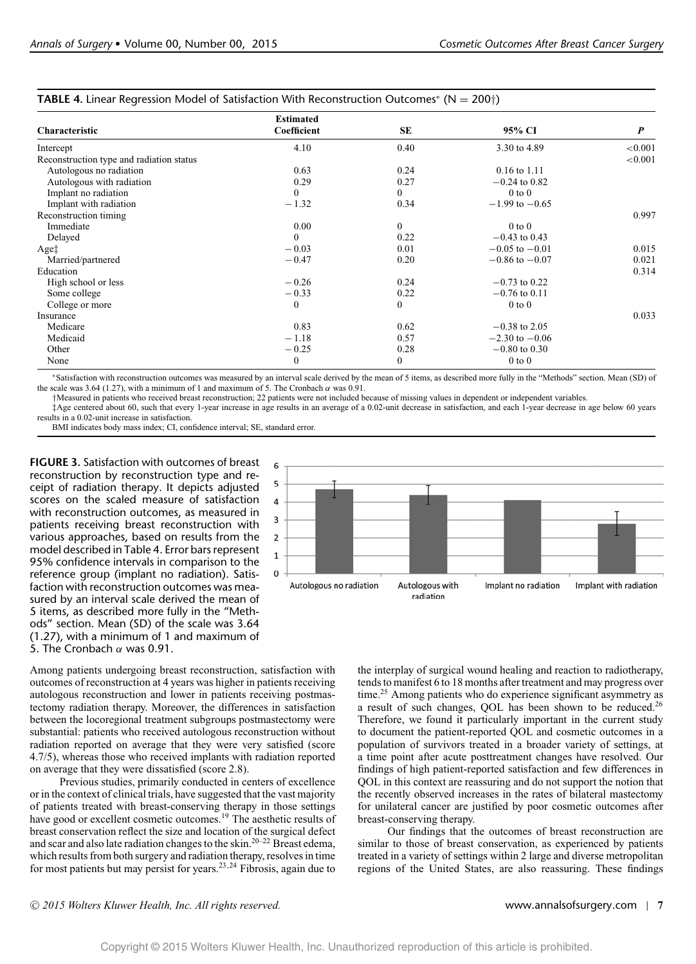|                                          | <b>Estimated</b> |              |                           |                  |
|------------------------------------------|------------------|--------------|---------------------------|------------------|
| Characteristic                           | Coefficient      | SE           | 95% CI                    | $\boldsymbol{P}$ |
| Intercept                                | 4.10             | 0.40         | 3.30 to 4.89              | < 0.001          |
| Reconstruction type and radiation status |                  |              |                           | < 0.001          |
| Autologous no radiation                  | 0.63             | 0.24         | $0.16$ to $1.11$          |                  |
| Autologous with radiation                | 0.29             | 0.27         | $-0.24$ to 0.82           |                  |
| Implant no radiation                     | $\theta$         | $\theta$     | $0$ to $0$                |                  |
| Implant with radiation                   | $-1.32$          | 0.34         | $-1.99$ to $-0.65$        |                  |
| Reconstruction timing                    |                  |              |                           | 0.997            |
| Immediate                                | 0.00             | $\theta$     | $0$ to $0$                |                  |
| Delayed                                  | $\Omega$         | 0.22         | $-0.43$ to 0.43           |                  |
| Age <sup><math>\uparrow</math></sup>     | $-0.03$          | 0.01         | $-0.05$ to $-0.01$        | 0.015            |
| Married/partnered                        | $-0.47$          | 0.20         | $-0.86$ to $-0.07$        | 0.021            |
| Education                                |                  |              |                           | 0.314            |
| High school or less                      | $-0.26$          | 0.24         | $-0.73$ to 0.22           |                  |
| Some college                             | $-0.33$          | 0.22         | $-0.76$ to 0.11           |                  |
| College or more                          | $\Omega$         | $\mathbf{0}$ | $0$ to $0$                |                  |
| Insurance                                |                  |              |                           | 0.033            |
| Medicare                                 | 0.83             | 0.62         | $-0.38$ to 2.05           |                  |
| Medicaid                                 | $-1.18$          | 0.57         | $-2.30 \text{ to } -0.06$ |                  |
| Other                                    | $-0.25$          | 0.28         | $-0.80$ to 0.30           |                  |
| None                                     | $\mathbf{0}$     | $\mathbf{0}$ | $0$ to $0$                |                  |

**TABLE 4.** Linear Regression Model of Satisfaction With Reconstruction Outcomes<sup>∗</sup> (N = 200†)

∗Satisfaction with reconstruction outcomes was measured by an interval scale derived by the mean of 5 items, as described more fully in the "Methods" section. Mean (SD) of the scale was 3.64 (1.27), with a minimum of 1 and maximum of 5. The Cronbach  $\alpha$  was 0.91.

†Measured in patients who received breast reconstruction; 22 patients were not included because of missing values in dependent or independent variables.

‡Age centered about 60, such that every 1-year increase in age results in an average of a 0.02-unit decrease in satisfaction, and each 1-year decrease in age below 60 years results in a 0.02-unit increase in satisfaction.

BMI indicates body mass index; CI, confidence interval; SE, standard error.

**FIGURE 3.** Satisfaction with outcomes of breast reconstruction by reconstruction type and receipt of radiation therapy. It depicts adjusted scores on the scaled measure of satisfaction with reconstruction outcomes, as measured in patients receiving breast reconstruction with various approaches, based on results from the model described in Table 4. Error bars represent 95% confidence intervals in comparison to the reference group (implant no radiation). Satisfaction with reconstruction outcomes was measured by an interval scale derived the mean of 5 items, as described more fully in the "Methods" section. Mean (SD) of the scale was 3.64 (1.27), with a minimum of 1 and maximum of 5. The Cronbach  $\alpha$  was 0.91.

6 5  $\overline{4}$  $\overline{3}$  $\overline{2}$  $\overline{1}$  $\Omega$ Autologous no radiation Autologous with Implant no radiation Implant with radiation radiation

Among patients undergoing breast reconstruction, satisfaction with outcomes of reconstruction at 4 years was higher in patients receiving autologous reconstruction and lower in patients receiving postmastectomy radiation therapy. Moreover, the differences in satisfaction between the locoregional treatment subgroups postmastectomy were substantial: patients who received autologous reconstruction without radiation reported on average that they were very satisfied (score 4.7/5), whereas those who received implants with radiation reported on average that they were dissatisfied (score 2.8).

Previous studies, primarily conducted in centers of excellence or in the context of clinical trials, have suggested that the vast majority of patients treated with breast-conserving therapy in those settings have good or excellent cosmetic outcomes.<sup>19</sup> The aesthetic results of breast conservation reflect the size and location of the surgical defect and scar and also late radiation changes to the skin.20–22 Breast edema, which results from both surgery and radiation therapy, resolves in time for most patients but may persist for years.23,24 Fibrosis, again due to the interplay of surgical wound healing and reaction to radiotherapy, tends to manifest 6 to 18 months after treatment and may progress over time.<sup>25</sup> Among patients who do experience significant asymmetry as a result of such changes, QOL has been shown to be reduced.26 Therefore, we found it particularly important in the current study to document the patient-reported QOL and cosmetic outcomes in a population of survivors treated in a broader variety of settings, at a time point after acute posttreatment changes have resolved. Our findings of high patient-reported satisfaction and few differences in QOL in this context are reassuring and do not support the notion that the recently observed increases in the rates of bilateral mastectomy for unilateral cancer are justified by poor cosmetic outcomes after breast-conserving therapy.

Our findings that the outcomes of breast reconstruction are similar to those of breast conservation, as experienced by patients treated in a variety of settings within 2 large and diverse metropolitan regions of the United States, are also reassuring. These findings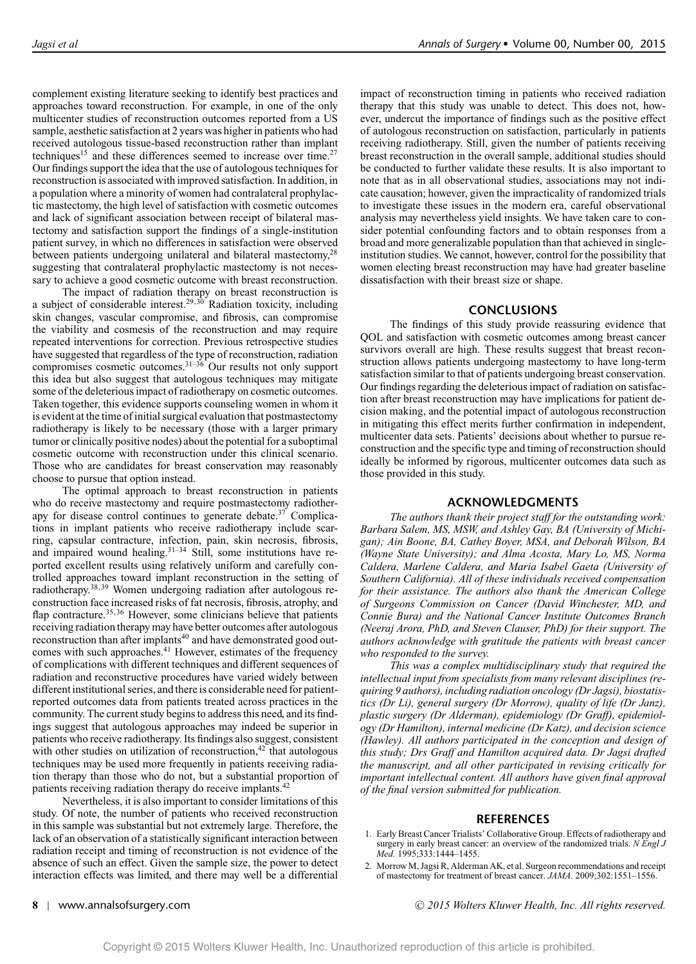complement existing literature seeking to identify best practices and approaches toward reconstruction. For example, in one of the only multicenter studies of reconstruction outcomes reported from a US sample, aesthetic satisfaction at 2 years was higher in patients who had received autologous tissue-based reconstruction rather than implant techniques<sup>15</sup> and these differences seemed to increase over time.<sup>27</sup> Our findings support the idea that the use of autologous techniques for reconstruction is associated with improved satisfaction. In addition, in a population where a minority of women had contralateral prophylactic mastectomy, the high level of satisfaction with cosmetic outcomes and lack of significant association between receipt of bilateral mastectomy and satisfaction support the findings of a single-institution patient survey, in which no differences in satisfaction were observed between patients undergoing unilateral and bilateral mastectomy,<sup>28</sup> suggesting that contralateral prophylactic mastectomy is not necessary to achieve a good cosmetic outcome with breast reconstruction.

The impact of radiation therapy on breast reconstruction is a subject of considerable interest.<sup>29,30</sup> Radiation toxicity, including skin changes, vascular compromise, and fibrosis, can compromise the viability and cosmesis of the reconstruction and may require repeated interventions for correction. Previous retrospective studies have suggested that regardless of the type of reconstruction, radiation compromises cosmetic outcomes.<sup>31–36</sup> Our results not only support this idea but also suggest that autologous techniques may mitigate some of the deleterious impact of radiotherapy on cosmetic outcomes. Taken together, this evidence supports counseling women in whom it is evident at the time of initial surgical evaluation that postmastectomy radiotherapy is likely to be necessary (those with a larger primary tumor or clinically positive nodes) about the potential for a suboptimal cosmetic outcome with reconstruction under this clinical scenario. Those who are candidates for breast conservation may reasonably choose to pursue that option instead.

The optimal approach to breast reconstruction in patients who do receive mastectomy and require postmastectomy radiotherapy for disease control continues to generate debate.<sup>37</sup> Complications in implant patients who receive radiotherapy include scarring, capsular contracture, infection, pain, skin necrosis, fibrosis, and impaired wound healing. $31-34$  Still, some institutions have reported excellent results using relatively uniform and carefully controlled approaches toward implant reconstruction in the setting of radiotherapy.38,39 Women undergoing radiation after autologous reconstruction face increased risks of fat necrosis, fibrosis, atrophy, and flap contracture.<sup>35,36</sup> However, some clinicians believe that patients receiving radiation therapy may have better outcomes after autologous reconstruction than after implants<sup>40</sup> and have demonstrated good outcomes with such approaches.<sup>41</sup> However, estimates of the frequency of complications with different techniques and different sequences of radiation and reconstructive procedures have varied widely between different institutional series, and there is considerable need for patientreported outcomes data from patients treated across practices in the community. The current study begins to address this need, and its findings suggest that autologous approaches may indeed be superior in patients who receive radiotherapy. Its findings also suggest, consistent with other studies on utilization of reconstruction, $42$  that autologous techniques may be used more frequently in patients receiving radiation therapy than those who do not, but a substantial proportion of patients receiving radiation therapy do receive implants.<sup>42</sup>

Nevertheless, it is also important to consider limitations of this study. Of note, the number of patients who received reconstruction in this sample was substantial but not extremely large. Therefore, the lack of an observation of a statistically significant interaction between radiation receipt and timing of reconstruction is not evidence of the absence of such an effect. Given the sample size, the power to detect interaction effects was limited, and there may well be a differential

impact of reconstruction timing in patients who received radiation therapy that this study was unable to detect. This does not, however, undercut the importance of findings such as the positive effect of autologous reconstruction on satisfaction, particularly in patients receiving radiotherapy. Still, given the number of patients receiving breast reconstruction in the overall sample, additional studies should be conducted to further validate these results. It is also important to note that as in all observational studies, associations may not indicate causation; however, given the impracticality of randomized trials to investigate these issues in the modern era, careful observational analysis may nevertheless yield insights. We have taken care to consider potential confounding factors and to obtain responses from a broad and more generalizable population than that achieved in singleinstitution studies. We cannot, however, control for the possibility that women electing breast reconstruction may have had greater baseline dissatisfaction with their breast size or shape.

# **CONCLUSIONS**

The findings of this study provide reassuring evidence that QOL and satisfaction with cosmetic outcomes among breast cancer survivors overall are high. These results suggest that breast reconstruction allows patients undergoing mastectomy to have long-term satisfaction similar to that of patients undergoing breast conservation. Our findings regarding the deleterious impact of radiation on satisfaction after breast reconstruction may have implications for patient decision making, and the potential impact of autologous reconstruction in mitigating this effect merits further confirmation in independent, multicenter data sets. Patients' decisions about whether to pursue reconstruction and the specific type and timing of reconstruction should ideally be informed by rigorous, multicenter outcomes data such as those provided in this study.

# **ACKNOWLEDGMENTS**

*The authors thank their project staff for the outstanding work: Barbara Salem, MS, MSW, and Ashley Gay, BA (University of Michigan); Ain Boone, BA, Cathey Boyer, MSA, and Deborah Wilson, BA (Wayne State University); and Alma Acosta, Mary Lo, MS, Norma Caldera, Marlene Caldera, and Maria Isabel Gaeta (University of Southern California). All of these individuals received compensation for their assistance. The authors also thank the American College of Surgeons Commission on Cancer (David Winchester, MD, and Connie Bura) and the National Cancer Institute Outcomes Branch (Neeraj Arora, PhD, and Steven Clauser, PhD) for their support. The authors acknowledge with gratitude the patients with breast cancer who responded to the survey.*

*This was a complex multidisciplinary study that required the intellectual input from specialists from many relevant disciplines (requiring 9 authors), including radiation oncology (Dr Jagsi), biostatistics (Dr Li), general surgery (Dr Morrow), quality of life (Dr Janz), plastic surgery (Dr Alderman), epidemiology (Dr Graff), epidemiology (Dr Hamilton), internal medicine (Dr Katz), and decision science (Hawley). All authors participated in the conception and design of this study; Drs Graff and Hamilton acquired data. Dr Jagsi drafted the manuscript, and all other participated in revising critically for important intellectual content. All authors have given final approval of the final version submitted for publication.*

# **REFERENCES**

- 1. Early Breast Cancer Trialists' Collaborative Group. Effects of radiotherapy and surgery in early breast cancer: an overview of the randomized trials. *N Engl J Med.* 1995;333:1444–1455.
- 2. Morrow M, Jagsi R, Alderman AK, et al. Surgeon recommendations and receipt of mastectomy for treatment of breast cancer. *JAMA.* 2009;302:1551–1556.